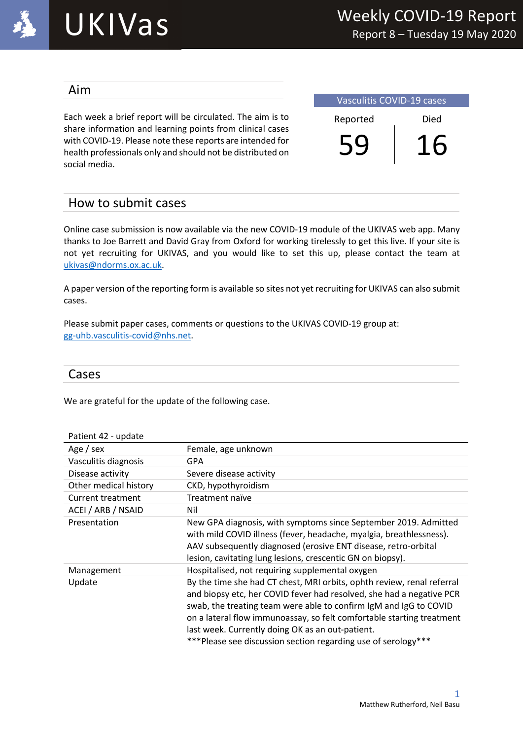

# UKIVas

#### Aim

Each week a brief report will be circulated. The aim is to share information and learning points from clinical cases with COVID-19. Please note these reports are intended for health professionals only and should not be distributed on social media.

| <b>Vasculitis COVID-19 cases</b> |      |  |  |  |
|----------------------------------|------|--|--|--|
| Reported                         | Died |  |  |  |
|                                  |      |  |  |  |

## How to submit cases

Online case submission is now available via the new COVID-19 module of the UKIVAS web app. Many thanks to Joe Barrett and David Gray from Oxford for working tirelessly to get this live. If your site is not yet recruiting for UKIVAS, and you would like to set this up, please contact the team at ukivas@ndorms.ox.ac.uk.

A paper version of the reporting form is available so sites not yet recruiting for UKIVAS can also submit cases.

Please submit paper cases, comments or questions to the UKIVAS COVID-19 group at: gg-uhb.vasculitis-covid@nhs.net.

#### Cases

We are grateful for the update of the following case.

| Patient 42 - update   |                                                                                                                                                                                                                                                                                                                                                                                                                    |
|-----------------------|--------------------------------------------------------------------------------------------------------------------------------------------------------------------------------------------------------------------------------------------------------------------------------------------------------------------------------------------------------------------------------------------------------------------|
| Age / sex             | Female, age unknown                                                                                                                                                                                                                                                                                                                                                                                                |
| Vasculitis diagnosis  | GPA                                                                                                                                                                                                                                                                                                                                                                                                                |
| Disease activity      | Severe disease activity                                                                                                                                                                                                                                                                                                                                                                                            |
| Other medical history | CKD, hypothyroidism                                                                                                                                                                                                                                                                                                                                                                                                |
| Current treatment     | Treatment naïve                                                                                                                                                                                                                                                                                                                                                                                                    |
| ACEI / ARB / NSAID    | Nil                                                                                                                                                                                                                                                                                                                                                                                                                |
| Presentation          | New GPA diagnosis, with symptoms since September 2019. Admitted<br>with mild COVID illness (fever, headache, myalgia, breathlessness).<br>AAV subsequently diagnosed (erosive ENT disease, retro-orbital<br>lesion, cavitating lung lesions, crescentic GN on biopsy).                                                                                                                                             |
| Management            | Hospitalised, not requiring supplemental oxygen                                                                                                                                                                                                                                                                                                                                                                    |
| Update                | By the time she had CT chest, MRI orbits, ophth review, renal referral<br>and biopsy etc, her COVID fever had resolved, she had a negative PCR<br>swab, the treating team were able to confirm IgM and IgG to COVID<br>on a lateral flow immunoassay, so felt comfortable starting treatment<br>last week. Currently doing OK as an out-patient.<br>*** Please see discussion section regarding use of serology*** |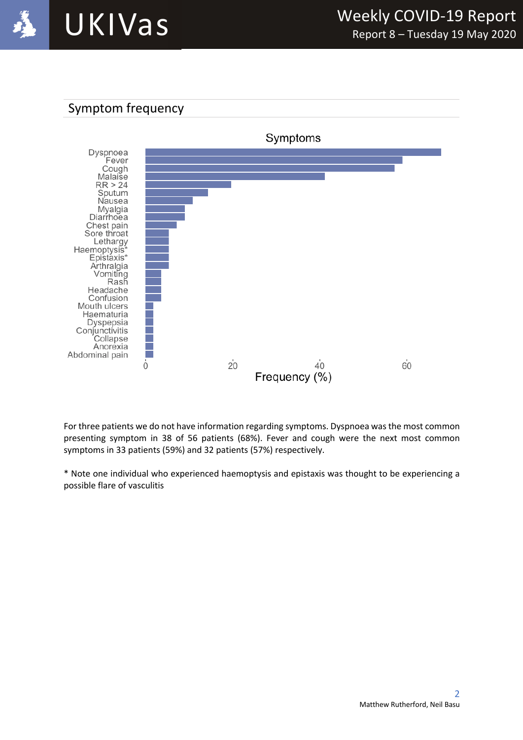



For three patients we do not have information regarding symptoms. Dyspnoea was the most common presenting symptom in 38 of 56 patients (68%). Fever and cough were the next most common symptoms in 33 patients (59%) and 32 patients (57%) respectively.

\* Note one individual who experienced haemoptysis and epistaxis was thought to be experiencing a possible flare of vasculitis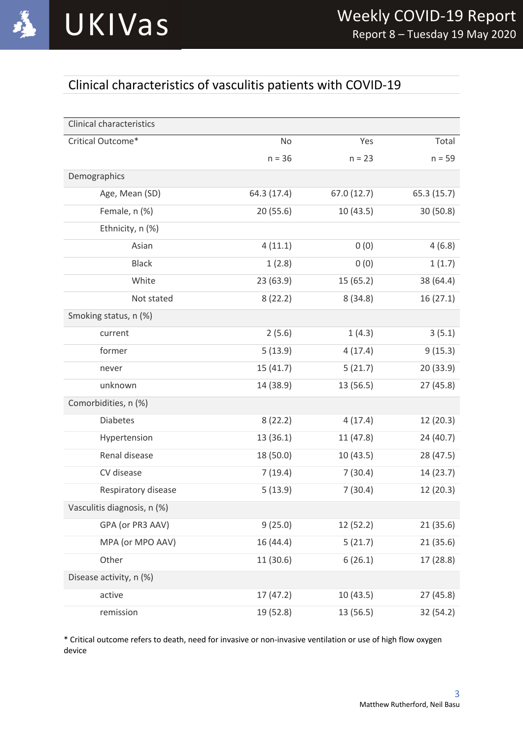

# Clinical characteristics of vasculitis patients with COVID-19

| <b>Clinical characteristics</b> |             |            |             |
|---------------------------------|-------------|------------|-------------|
| Critical Outcome*               | No          | Yes        | Total       |
|                                 | $n = 36$    | $n = 23$   | $n = 59$    |
| Demographics                    |             |            |             |
| Age, Mean (SD)                  | 64.3 (17.4) | 67.0(12.7) | 65.3 (15.7) |
| Female, n (%)                   | 20(55.6)    | 10 (43.5)  | 30(50.8)    |
| Ethnicity, n (%)                |             |            |             |
| Asian                           | 4(11.1)     | 0(0)       | 4(6.8)      |
| <b>Black</b>                    | 1(2.8)      | 0(0)       | 1(1.7)      |
| White                           | 23(63.9)    | 15 (65.2)  | 38 (64.4)   |
| Not stated                      | 8(22.2)     | 8(34.8)    | 16(27.1)    |
| Smoking status, n (%)           |             |            |             |
| current                         | 2(5.6)      | 1(4.3)     | 3(5.1)      |
| former                          | 5(13.9)     | 4(17.4)    | 9(15.3)     |
| never                           | 15 (41.7)   | 5(21.7)    | 20 (33.9)   |
| unknown                         | 14 (38.9)   | 13 (56.5)  | 27(45.8)    |
| Comorbidities, n (%)            |             |            |             |
| <b>Diabetes</b>                 | 8(22.2)     | 4(17.4)    | 12 (20.3)   |
| Hypertension                    | 13 (36.1)   | 11 (47.8)  | 24 (40.7)   |
| Renal disease                   | 18 (50.0)   | 10 (43.5)  | 28 (47.5)   |
| CV disease                      | 7(19.4)     | 7(30.4)    | 14 (23.7)   |
| Respiratory disease             | 5(13.9)     | 7(30.4)    | 12 (20.3)   |
| Vasculitis diagnosis, n (%)     |             |            |             |
| GPA (or PR3 AAV)                | 9(25.0)     | 12 (52.2)  | 21 (35.6)   |
| MPA (or MPO AAV)                | 16 (44.4)   | 5(21.7)    | 21 (35.6)   |
| Other                           | 11 (30.6)   | 6(26.1)    | 17 (28.8)   |
| Disease activity, n (%)         |             |            |             |
| active                          | 17 (47.2)   | 10 (43.5)  | 27 (45.8)   |
| remission                       | 19 (52.8)   | 13 (56.5)  | 32 (54.2)   |

\* Critical outcome refers to death, need for invasive or non-invasive ventilation or use of high flow oxygen device